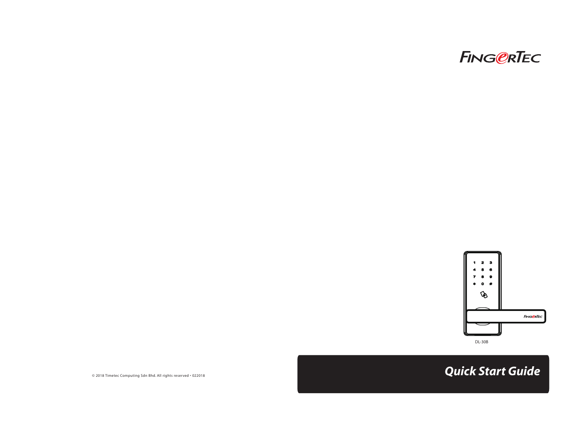



© 2018 Timetec Computing Sdn Bhd. All rights reserved • 022018 *Quick Start Guide*